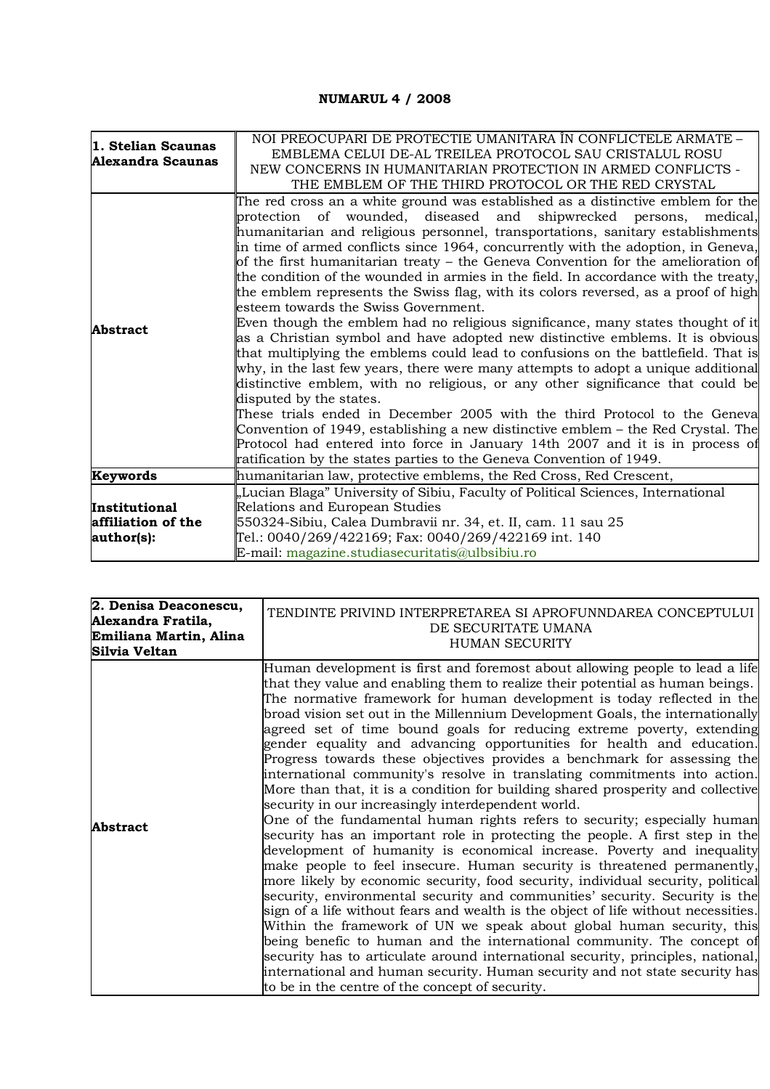## **NUMARUL 4 / 2008**

| 1. Stelian Scaunas<br>Alexandra Scaunas           | NOI PREOCUPARI DE PROTECTIE UMANITARA ÎN CONFLICTELE ARMATE -<br>EMBLEMA CELUI DE-AL TREILEA PROTOCOL SAU CRISTALUL ROSU<br>NEW CONCERNS IN HUMANITARIAN PROTECTION IN ARMED CONFLICTS -<br>THE EMBLEM OF THE THIRD PROTOCOL OR THE RED CRYSTAL                                                                                                                                                                                                                                                                                                                                                                                                                                                                                                                                                                                                                                                                                                                                                                                                                                                                                                                                                                                                                                                                                                                                                                              |
|---------------------------------------------------|------------------------------------------------------------------------------------------------------------------------------------------------------------------------------------------------------------------------------------------------------------------------------------------------------------------------------------------------------------------------------------------------------------------------------------------------------------------------------------------------------------------------------------------------------------------------------------------------------------------------------------------------------------------------------------------------------------------------------------------------------------------------------------------------------------------------------------------------------------------------------------------------------------------------------------------------------------------------------------------------------------------------------------------------------------------------------------------------------------------------------------------------------------------------------------------------------------------------------------------------------------------------------------------------------------------------------------------------------------------------------------------------------------------------------|
| <b>Abstract</b>                                   | The red cross an a white ground was established as a distinctive emblem for the<br>protection of wounded, diseased and shipwrecked persons,<br>medical.<br>humanitarian and religious personnel, transportations, sanitary establishments<br>in time of armed conflicts since 1964, concurrently with the adoption, in Geneva,<br>of the first humanitarian treaty – the Geneva Convention for the amelioration of<br>the condition of the wounded in armies in the field. In accordance with the treaty,<br>the emblem represents the Swiss flag, with its colors reversed, as a proof of high<br>esteem towards the Swiss Government.<br>Even though the emblem had no religious significance, many states thought of it<br>as a Christian symbol and have adopted new distinctive emblems. It is obvious<br>that multiplying the emblems could lead to confusions on the battlefield. That is<br>why, in the last few years, there were many attempts to adopt a unique additional<br>distinctive emblem, with no religious, or any other significance that could be<br>disputed by the states.<br>These trials ended in December 2005 with the third Protocol to the Geneval<br>Convention of 1949, establishing a new distinctive emblem – the Red Crystal. The<br>Protocol had entered into force in January 14th 2007 and it is in process of<br>ratification by the states parties to the Geneva Convention of 1949. |
| Keywords                                          | humanitarian law, protective emblems, the Red Cross, Red Crescent,                                                                                                                                                                                                                                                                                                                                                                                                                                                                                                                                                                                                                                                                                                                                                                                                                                                                                                                                                                                                                                                                                                                                                                                                                                                                                                                                                           |
| Institutional<br>affiliation of the<br>author(s): | "Lucian Blaga" University of Sibiu, Faculty of Political Sciences, International<br>Relations and European Studies<br>550324-Sibiu, Calea Dumbravii nr. 34, et. II, cam. 11 sau 25<br>Tel.: 0040/269/422169; Fax: 0040/269/422169 int. 140<br>E-mail: magazine.studiasecuritatis@ulbsibiu.ro                                                                                                                                                                                                                                                                                                                                                                                                                                                                                                                                                                                                                                                                                                                                                                                                                                                                                                                                                                                                                                                                                                                                 |

| 2. Denisa Deaconescu,<br>Alexandra Fratila,<br>Emiliana Martin, Alina<br>Silvia Veltan | TENDINTE PRIVIND INTERPRETAREA SI APROFUNNDAREA CONCEPTULUI<br>DE SECURITATE UMANA<br><b>HUMAN SECURITY</b>                                                                                                                                                                                                                                                                                                                                                                                                                                                                                                                                                                                                                                                                                                                                                                                                                                                                                                                                                                                                                                                                                                                                                                                                                                                                                                                                                                                                                                                                                                                                                                                                                     |
|----------------------------------------------------------------------------------------|---------------------------------------------------------------------------------------------------------------------------------------------------------------------------------------------------------------------------------------------------------------------------------------------------------------------------------------------------------------------------------------------------------------------------------------------------------------------------------------------------------------------------------------------------------------------------------------------------------------------------------------------------------------------------------------------------------------------------------------------------------------------------------------------------------------------------------------------------------------------------------------------------------------------------------------------------------------------------------------------------------------------------------------------------------------------------------------------------------------------------------------------------------------------------------------------------------------------------------------------------------------------------------------------------------------------------------------------------------------------------------------------------------------------------------------------------------------------------------------------------------------------------------------------------------------------------------------------------------------------------------------------------------------------------------------------------------------------------------|
| <b>Abstract</b>                                                                        | Human development is first and foremost about allowing people to lead a life<br>that they value and enabling them to realize their potential as human beings.<br>The normative framework for human development is today reflected in the<br>broad vision set out in the Millennium Development Goals, the internationally<br>agreed set of time bound goals for reducing extreme poverty, extending<br>gender equality and advancing opportunities for health and education.<br>Progress towards these objectives provides a benchmark for assessing the<br>international community's resolve in translating commitments into action.<br>More than that, it is a condition for building shared prosperity and collective<br>security in our increasingly interdependent world.<br>One of the fundamental human rights refers to security; especially human<br>security has an important role in protecting the people. A first step in the<br>development of humanity is economical increase. Poverty and inequality<br>make people to feel insecure. Human security is threatened permanently,<br>more likely by economic security, food security, individual security, political<br>security, environmental security and communities' security. Security is the<br>sign of a life without fears and wealth is the object of life without necessities.<br>Within the framework of UN we speak about global human security, this<br>being benefic to human and the international community. The concept of<br>security has to articulate around international security, principles, national,<br>international and human security. Human security and not state security has<br>to be in the centre of the concept of security. |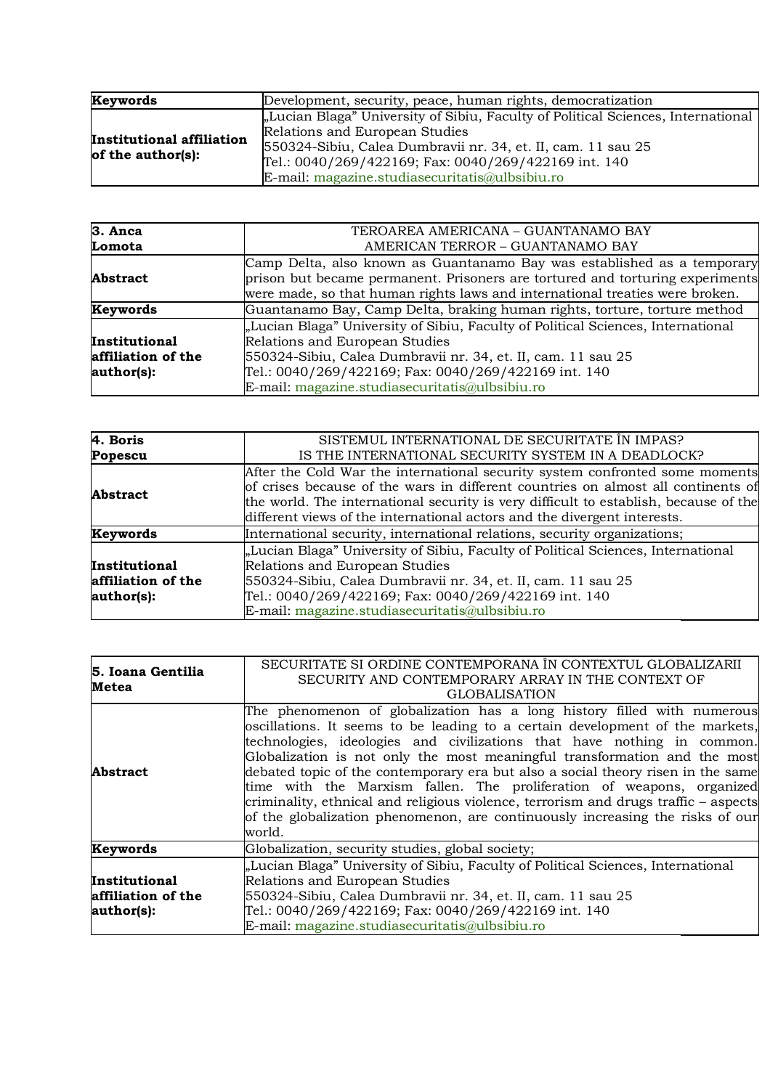| Keywords                                           | Development, security, peace, human rights, democratization                                                                                                                                                                                                                                  |
|----------------------------------------------------|----------------------------------------------------------------------------------------------------------------------------------------------------------------------------------------------------------------------------------------------------------------------------------------------|
| Institutional affiliation<br>of the author( $s$ ): | "Lucian Blaga" University of Sibiu, Faculty of Political Sciences, International<br>Relations and European Studies<br>550324-Sibiu, Calea Dumbravii nr. 34, et. II, cam. 11 sau 25<br>Tel.: 0040/269/422169; Fax: 0040/269/422169 int. 140<br>E-mail: magazine.studiasecuritatis@ulbsibiu.ro |

| 3. Anca            | TEROAREA AMERICANA - GUANTANAMO BAY                                              |
|--------------------|----------------------------------------------------------------------------------|
| Lomota             | AMERICAN TERROR - GUANTANAMO BAY                                                 |
|                    | Camp Delta, also known as Guantanamo Bay was established as a temporary          |
| <b>Abstract</b>    | prison but became permanent. Prisoners are tortured and torturing experiments    |
|                    | were made, so that human rights laws and international treaties were broken.     |
| <b>Keywords</b>    | Guantanamo Bay, Camp Delta, braking human rights, torture, torture method        |
|                    | "Lucian Blaga" University of Sibiu, Faculty of Political Sciences, International |
| Institutional      | Relations and European Studies                                                   |
| affiliation of the | 550324-Sibiu, Calea Dumbravii nr. 34, et. II, cam. 11 sau 25                     |
| author(s):         | Tel.: 0040/269/422169; Fax: 0040/269/422169 int. 140                             |
|                    | E-mail: magazine.studiasecuritatis@ulbsibiu.ro                                   |

| 4. Boris           | SISTEMUL INTERNATIONAL DE SECURITATE ÎN IMPAS?                                       |
|--------------------|--------------------------------------------------------------------------------------|
|                    |                                                                                      |
| Popescu            | IS THE INTERNATIONAL SECURITY SYSTEM IN A DEADLOCK?                                  |
|                    | After the Cold War the international security system confronted some moments         |
| <b>Abstract</b>    | of crises because of the wars in different countries on almost all continents of     |
|                    | the world. The international security is very difficult to establish, because of the |
|                    | different views of the international actors and the divergent interests.             |
| Keywords           | International security, international relations, security organizations;             |
|                    | "Lucian Blaga" University of Sibiu, Faculty of Political Sciences, International     |
| Institutional      | Relations and European Studies                                                       |
| affiliation of the | 550324-Sibiu, Calea Dumbravii nr. 34, et. II, cam. 11 sau 25                         |
| author(s):         | Tel.: 0040/269/422169; Fax: 0040/269/422169 int. 140                                 |
|                    | E-mail: magazine.studiasecuritatis@ulbsibiu.ro                                       |

| 5. Ioana Gentilia<br>Metea                               | SECURITATE SI ORDINE CONTEMPORANA ÎN CONTEXTUL GLOBALIZARII<br>SECURITY AND CONTEMPORARY ARRAY IN THE CONTEXT OF<br><b>GLOBALISATION</b>                                                                                                                                                                                                                                                                                                                                                                                                                                                                                                                        |
|----------------------------------------------------------|-----------------------------------------------------------------------------------------------------------------------------------------------------------------------------------------------------------------------------------------------------------------------------------------------------------------------------------------------------------------------------------------------------------------------------------------------------------------------------------------------------------------------------------------------------------------------------------------------------------------------------------------------------------------|
| <b>Abstract</b>                                          | The phenomenon of globalization has a long history filled with numerous<br>oscillations. It seems to be leading to a certain development of the markets,<br>technologies, ideologies and civilizations that have nothing in common.<br>Globalization is not only the most meaningful transformation and the most<br>debated topic of the contemporary era but also a social theory risen in the same<br>time with the Marxism fallen. The proliferation of weapons, organized<br>criminality, ethnical and religious violence, terrorism and drugs traffic – aspects<br>of the globalization phenomenon, are continuously increasing the risks of our<br>world. |
| Keywords                                                 | Globalization, security studies, global society;                                                                                                                                                                                                                                                                                                                                                                                                                                                                                                                                                                                                                |
| <b>Institutional</b><br>affiliation of the<br>author(s): | "Lucian Blaga" University of Sibiu, Faculty of Political Sciences, International<br>Relations and European Studies<br>550324-Sibiu, Calea Dumbravii nr. 34, et. II, cam. 11 sau 25<br>Tel.: 0040/269/422169; Fax: 0040/269/422169 int. 140<br>$E$ -mail: magazine.studiasecuritatis@ulbsibiu.ro                                                                                                                                                                                                                                                                                                                                                                 |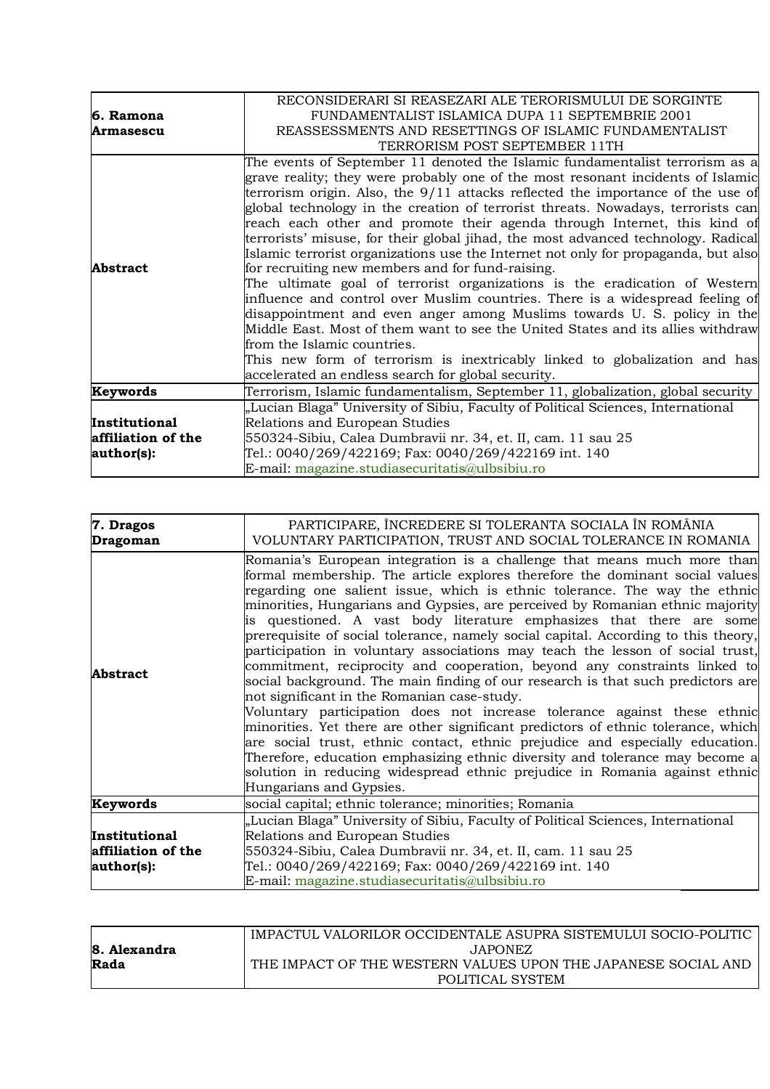|                    | RECONSIDERARI SI REASEZARI ALE TERORISMULUI DE SORGINTE                                                                                                                                                                                                                                                                                                                                                                                                                                                                                                                                                                                                                                                                                                                                                                                                                                                                                                                                                                                                                                                                                          |
|--------------------|--------------------------------------------------------------------------------------------------------------------------------------------------------------------------------------------------------------------------------------------------------------------------------------------------------------------------------------------------------------------------------------------------------------------------------------------------------------------------------------------------------------------------------------------------------------------------------------------------------------------------------------------------------------------------------------------------------------------------------------------------------------------------------------------------------------------------------------------------------------------------------------------------------------------------------------------------------------------------------------------------------------------------------------------------------------------------------------------------------------------------------------------------|
| 6. Ramona          | FUNDAMENTALIST ISLAMICA DUPA 11 SEPTEMBRIE 2001                                                                                                                                                                                                                                                                                                                                                                                                                                                                                                                                                                                                                                                                                                                                                                                                                                                                                                                                                                                                                                                                                                  |
| <b>Armasescu</b>   | REASSESSMENTS AND RESETTINGS OF ISLAMIC FUNDAMENTALIST                                                                                                                                                                                                                                                                                                                                                                                                                                                                                                                                                                                                                                                                                                                                                                                                                                                                                                                                                                                                                                                                                           |
|                    | TERRORISM POST SEPTEMBER 11TH                                                                                                                                                                                                                                                                                                                                                                                                                                                                                                                                                                                                                                                                                                                                                                                                                                                                                                                                                                                                                                                                                                                    |
| <b>Abstract</b>    | The events of September 11 denoted the Islamic fundamentalist terrorism as a<br>grave reality; they were probably one of the most resonant incidents of Islamic<br>terrorism origin. Also, the 9/11 attacks reflected the importance of the use of<br>global technology in the creation of terrorist threats. Nowadays, terrorists can<br>reach each other and promote their agenda through Internet, this kind of<br>terrorists' misuse, for their global jihad, the most advanced technology. Radical<br>Islamic terrorist organizations use the Internet not only for propaganda, but also<br>for recruiting new members and for fund-raising.<br>The ultimate goal of terrorist organizations is the eradication of Western<br>influence and control over Muslim countries. There is a widespread feeling of<br>disappointment and even anger among Muslims towards U.S. policy in the<br>Middle East. Most of them want to see the United States and its allies withdraw<br>from the Islamic countries.<br>This new form of terrorism is inextricably linked to globalization and has<br>accelerated an endless search for global security. |
| Keywords           | Terrorism, Islamic fundamentalism, September 11, globalization, global security                                                                                                                                                                                                                                                                                                                                                                                                                                                                                                                                                                                                                                                                                                                                                                                                                                                                                                                                                                                                                                                                  |
|                    | "Lucian Blaga" University of Sibiu, Faculty of Political Sciences, International                                                                                                                                                                                                                                                                                                                                                                                                                                                                                                                                                                                                                                                                                                                                                                                                                                                                                                                                                                                                                                                                 |
| Institutional      | Relations and European Studies                                                                                                                                                                                                                                                                                                                                                                                                                                                                                                                                                                                                                                                                                                                                                                                                                                                                                                                                                                                                                                                                                                                   |
| affiliation of the | 550324-Sibiu, Calea Dumbravii nr. 34, et. II, cam. 11 sau 25                                                                                                                                                                                                                                                                                                                                                                                                                                                                                                                                                                                                                                                                                                                                                                                                                                                                                                                                                                                                                                                                                     |
| author(s):         | Tel.: 0040/269/422169; Fax: 0040/269/422169 int. 140                                                                                                                                                                                                                                                                                                                                                                                                                                                                                                                                                                                                                                                                                                                                                                                                                                                                                                                                                                                                                                                                                             |
|                    | E-mail: magazine.studiasecuritatis@ulbsibiu.ro                                                                                                                                                                                                                                                                                                                                                                                                                                                                                                                                                                                                                                                                                                                                                                                                                                                                                                                                                                                                                                                                                                   |

| 7. Dragos<br>Dragoman                             | PARTICIPARE, ÎNCREDERE SI TOLERANTA SOCIALA ÎN ROMÂNIA<br>VOLUNTARY PARTICIPATION, TRUST AND SOCIAL TOLERANCE IN ROMANIA                                                                                                                                                                                                                                                                                                                                                                                                                                                                                                                                                                                                                                                                                                                                                                                                                                                                                                                                                                                                                                                                                                       |
|---------------------------------------------------|--------------------------------------------------------------------------------------------------------------------------------------------------------------------------------------------------------------------------------------------------------------------------------------------------------------------------------------------------------------------------------------------------------------------------------------------------------------------------------------------------------------------------------------------------------------------------------------------------------------------------------------------------------------------------------------------------------------------------------------------------------------------------------------------------------------------------------------------------------------------------------------------------------------------------------------------------------------------------------------------------------------------------------------------------------------------------------------------------------------------------------------------------------------------------------------------------------------------------------|
| Abstract                                          | Romania's European integration is a challenge that means much more than<br>formal membership. The article explores therefore the dominant social values<br>regarding one salient issue, which is ethnic tolerance. The way the ethnic<br>minorities, Hungarians and Gypsies, are perceived by Romanian ethnic majority<br>is questioned. A vast body literature emphasizes that there are some<br>prerequisite of social tolerance, namely social capital. According to this theory,<br>participation in voluntary associations may teach the lesson of social trust,<br>commitment, reciprocity and cooperation, beyond any constraints linked to<br>social background. The main finding of our research is that such predictors are<br>not significant in the Romanian case-study.<br>Voluntary participation does not increase tolerance against these ethnic<br>minorities. Yet there are other significant predictors of ethnic tolerance, which<br>are social trust, ethnic contact, ethnic prejudice and especially education.<br>Therefore, education emphasizing ethnic diversity and tolerance may become a<br>solution in reducing widespread ethnic prejudice in Romania against ethnic<br>Hungarians and Gypsies. |
| Keywords                                          | social capital; ethnic tolerance; minorities; Romania                                                                                                                                                                                                                                                                                                                                                                                                                                                                                                                                                                                                                                                                                                                                                                                                                                                                                                                                                                                                                                                                                                                                                                          |
| Institutional<br>affiliation of the<br>author(s): | "Lucian Blaga" University of Sibiu, Faculty of Political Sciences, International<br>Relations and European Studies<br>550324-Sibiu, Calea Dumbravii nr. 34, et. II, cam. 11 sau 25<br>Tel.: 0040/269/422169; Fax: 0040/269/422169 int. 140<br>E-mail: magazine.studiasecuritatis@ulbsibiu.ro                                                                                                                                                                                                                                                                                                                                                                                                                                                                                                                                                                                                                                                                                                                                                                                                                                                                                                                                   |

|              | IMPACTUL VALORILOR OCCIDENTALE ASUPRA SISTEMULUI SOCIO-POLITIC |
|--------------|----------------------------------------------------------------|
| 8. Alexandra | JAPONEZ.                                                       |
| Rada         | THE IMPACT OF THE WESTERN VALUES UPON THE JAPANESE SOCIAL AND  |
|              | POLITICAL SYSTEM                                               |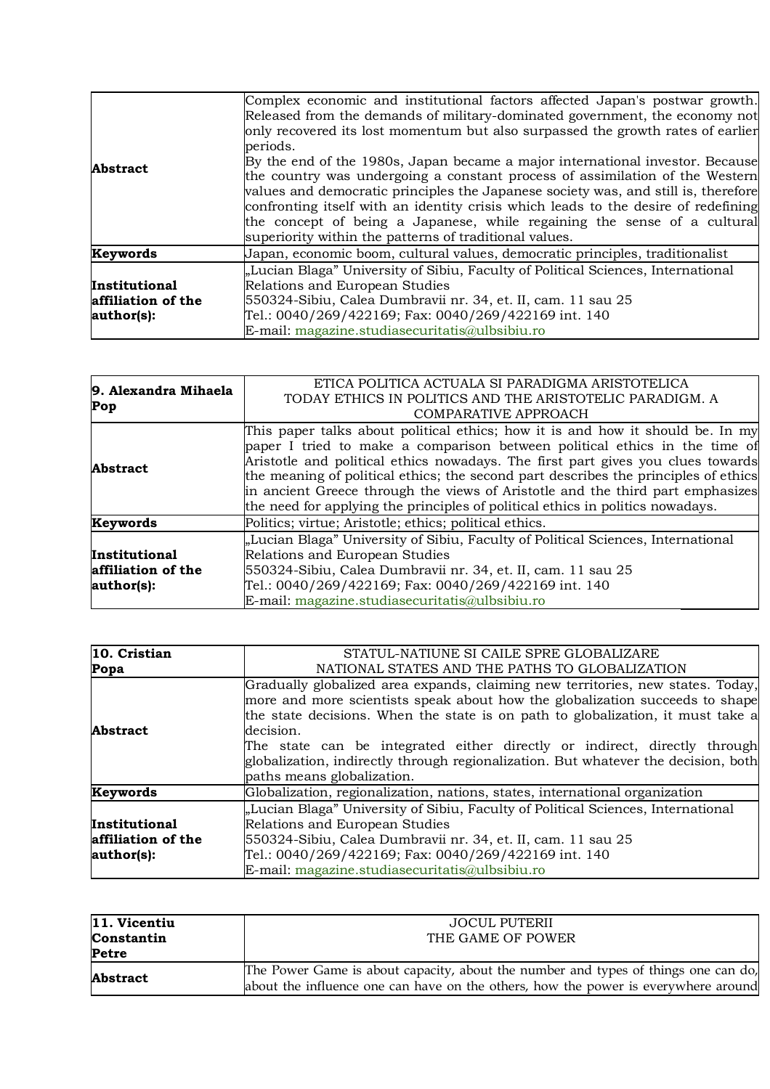| <b>Abstract</b>                                   | Complex economic and institutional factors affected Japan's postwar growth.<br>Released from the demands of military-dominated government, the economy not<br>only recovered its lost momentum but also surpassed the growth rates of earlier<br>periods.<br>By the end of the 1980s, Japan became a major international investor. Because<br>the country was undergoing a constant process of assimilation of the Western<br>values and democratic principles the Japanese society was, and still is, therefore<br>confronting itself with an identity crisis which leads to the desire of redefining<br>the concept of being a Japanese, while regaining the sense of a cultural<br>superiority within the patterns of traditional values. |
|---------------------------------------------------|----------------------------------------------------------------------------------------------------------------------------------------------------------------------------------------------------------------------------------------------------------------------------------------------------------------------------------------------------------------------------------------------------------------------------------------------------------------------------------------------------------------------------------------------------------------------------------------------------------------------------------------------------------------------------------------------------------------------------------------------|
| Keywords                                          | Japan, economic boom, cultural values, democratic principles, traditionalist                                                                                                                                                                                                                                                                                                                                                                                                                                                                                                                                                                                                                                                                 |
| Institutional<br>affiliation of the<br>author(s): | "Lucian Blaga" University of Sibiu, Faculty of Political Sciences, International<br>Relations and European Studies<br>550324-Sibiu, Calea Dumbravii nr. 34, et. II, cam. 11 sau 25<br>Tel.: 0040/269/422169; Fax: 0040/269/422169 int. 140<br>E-mail: magazine.studiasecuritatis@ulbsibiu.ro                                                                                                                                                                                                                                                                                                                                                                                                                                                 |

| 9. Alexandra Mihaela<br>Pop | ETICA POLITICA ACTUALA SI PARADIGMA ARISTOTELICA                                    |
|-----------------------------|-------------------------------------------------------------------------------------|
|                             | TODAY ETHICS IN POLITICS AND THE ARISTOTELIC PARADIGM. A                            |
|                             | COMPARATIVE APPROACH                                                                |
|                             | This paper talks about political ethics; how it is and how it should be. In my      |
|                             | paper I tried to make a comparison between political ethics in the time of          |
| <b>Abstract</b>             | Aristotle and political ethics nowadays. The first part gives you clues towards     |
|                             | the meaning of political ethics; the second part describes the principles of ethics |
|                             | in ancient Greece through the views of Aristotle and the third part emphasizes      |
|                             | the need for applying the principles of political ethics in politics nowadays.      |
| Keywords                    | Politics; virtue; Aristotle; ethics; political ethics.                              |
|                             | "Lucian Blaga" University of Sibiu, Faculty of Political Sciences, International    |
| <b>Institutional</b>        | Relations and European Studies                                                      |
| affiliation of the          | 550324-Sibiu, Calea Dumbravii nr. 34, et. II, cam. 11 sau 25                        |
| author(s):                  | Tel.: 0040/269/422169; Fax: 0040/269/422169 int. 140                                |
|                             | E-mail: magazine.studiasecuritatis@ulbsibiu.ro                                      |

| 10. Cristian       | STATUL-NATIUNE SI CAILE SPRE GLOBALIZARE                                                                                                                                                                                                                                                                                                                                                                                           |
|--------------------|------------------------------------------------------------------------------------------------------------------------------------------------------------------------------------------------------------------------------------------------------------------------------------------------------------------------------------------------------------------------------------------------------------------------------------|
| Popa               | NATIONAL STATES AND THE PATHS TO GLOBALIZATION                                                                                                                                                                                                                                                                                                                                                                                     |
| <b>Abstract</b>    | Gradually globalized area expands, claiming new territories, new states. Today,<br>more and more scientists speak about how the globalization succeeds to shape<br>the state decisions. When the state is on path to globalization, it must take a<br>decision.<br>The state can be integrated either directly or indirect, directly through<br>globalization, indirectly through regionalization. But whatever the decision, both |
|                    | paths means globalization.                                                                                                                                                                                                                                                                                                                                                                                                         |
| Keywords           | Globalization, regionalization, nations, states, international organization                                                                                                                                                                                                                                                                                                                                                        |
|                    | "Lucian Blaga" University of Sibiu, Faculty of Political Sciences, International                                                                                                                                                                                                                                                                                                                                                   |
| Institutional      | Relations and European Studies                                                                                                                                                                                                                                                                                                                                                                                                     |
| affiliation of the | 550324-Sibiu, Calea Dumbravii nr. 34, et. II, cam. 11 sau 25                                                                                                                                                                                                                                                                                                                                                                       |
| author(s):         | Tel.: 0040/269/422169; Fax: 0040/269/422169 int. 140                                                                                                                                                                                                                                                                                                                                                                               |
|                    | E-mail: magazine.studiasecuritatis@ulbsibiu.ro                                                                                                                                                                                                                                                                                                                                                                                     |

| 11. Vicentiu    | JOCUL PUTERII                                                                      |
|-----------------|------------------------------------------------------------------------------------|
| Constantin      | THE GAME OF POWER                                                                  |
| Petre           |                                                                                    |
| <b>Abstract</b> | The Power Game is about capacity, about the number and types of things one can do, |
|                 | about the influence one can have on the others, how the power is everywhere around |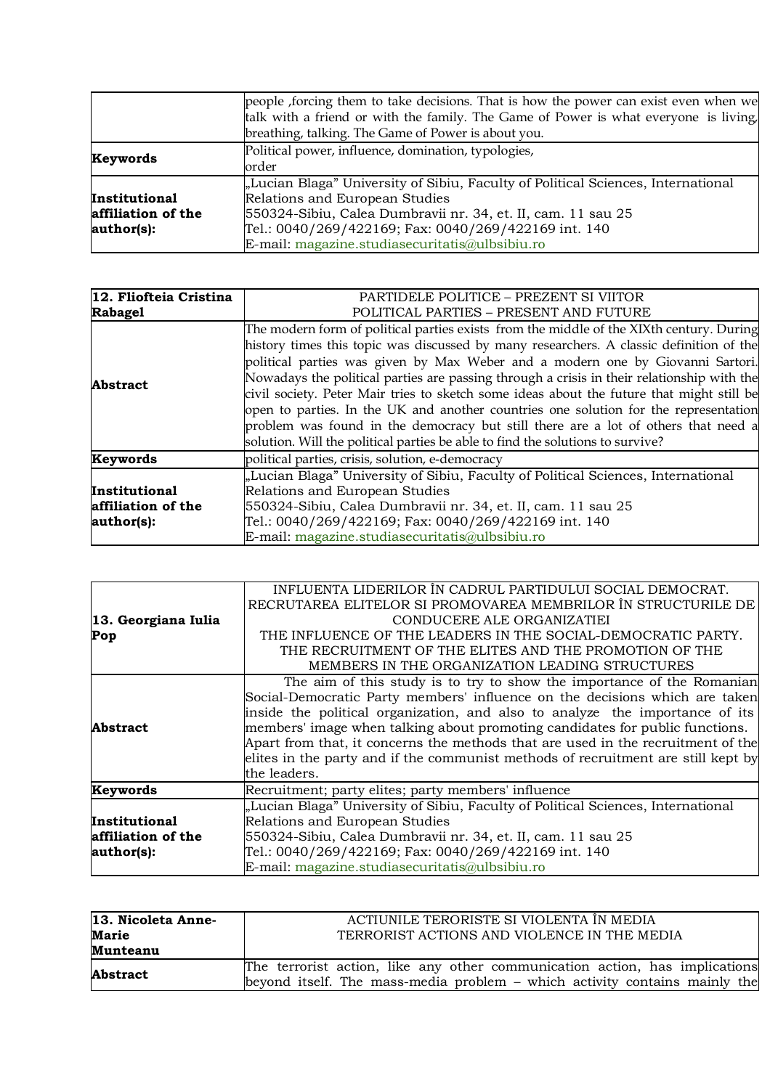|                    | people, forcing them to take decisions. That is how the power can exist even when we |
|--------------------|--------------------------------------------------------------------------------------|
|                    | talk with a friend or with the family. The Game of Power is what everyone is living, |
|                    | breathing, talking. The Game of Power is about you.                                  |
| Keywords           | Political power, influence, domination, typologies,                                  |
|                    | order                                                                                |
|                    | "Lucian Blaga" University of Sibiu, Faculty of Political Sciences, International     |
| Institutional      | Relations and European Studies                                                       |
| affiliation of the | 550324-Sibiu, Calea Dumbravii nr. 34, et. II, cam. 11 sau 25                         |
| author(s):         | Tel.: 0040/269/422169; Fax: 0040/269/422169 int. 140                                 |
|                    | E-mail: magazine.studiasecuritatis@ulbsibiu.ro                                       |

| 12. Fliofteia Cristina | PARTIDELE POLITICE - PREZENT SI VIITOR                                                     |
|------------------------|--------------------------------------------------------------------------------------------|
| <b>Rabagel</b>         | POLITICAL PARTIES - PRESENT AND FUTURE                                                     |
| <b>Abstract</b>        | The modern form of political parties exists from the middle of the XIXth century. During   |
|                        | history times this topic was discussed by many researchers. A classic definition of the    |
|                        | political parties was given by Max Weber and a modern one by Giovanni Sartori.             |
|                        | Nowadays the political parties are passing through a crisis in their relationship with the |
|                        | civil society. Peter Mair tries to sketch some ideas about the future that might still be  |
|                        | open to parties. In the UK and another countries one solution for the representation       |
|                        | problem was found in the democracy but still there are a lot of others that need a         |
|                        | solution. Will the political parties be able to find the solutions to survive?             |
| Keywords               | political parties, crisis, solution, e-democracy                                           |
|                        | "Lucian Blaga" University of Sibiu, Faculty of Political Sciences, International           |
| Institutional          | Relations and European Studies                                                             |
| affiliation of the     | 550324-Sibiu, Calea Dumbravii nr. 34, et. II, cam. 11 sau 25                               |
| author(s):             | Tel.: 0040/269/422169; Fax: 0040/269/422169 int. 140                                       |
|                        | E-mail: magazine.studiasecuritatis@ulbsibiu.ro                                             |

|                     | INFLUENTA LIDERILOR ÎN CADRUL PARTIDULUI SOCIAL DEMOCRAT.                         |
|---------------------|-----------------------------------------------------------------------------------|
|                     | RECRUTAREA ELITELOR SI PROMOVAREA MEMBRILOR ÎN STRUCTURILE DE                     |
| 13. Georgiana Iulia | CONDUCERE ALE ORGANIZATIEI                                                        |
| Pop                 | THE INFLUENCE OF THE LEADERS IN THE SOCIAL-DEMOCRATIC PARTY.                      |
|                     | THE RECRUITMENT OF THE ELITES AND THE PROMOTION OF THE                            |
|                     | MEMBERS IN THE ORGANIZATION LEADING STRUCTURES                                    |
|                     | The aim of this study is to try to show the importance of the Romanian            |
|                     | Social-Democratic Party members' influence on the decisions which are taken       |
|                     | inside the political organization, and also to analyze the importance of its      |
| <b>Abstract</b>     | members' image when talking about promoting candidates for public functions.      |
|                     | Apart from that, it concerns the methods that are used in the recruitment of the  |
|                     | elites in the party and if the communist methods of recruitment are still kept by |
|                     | the leaders.                                                                      |
| Keywords            | Recruitment; party elites; party members' influence                               |
|                     | "Lucian Blaga" University of Sibiu, Faculty of Political Sciences, International  |
| Institutional       | Relations and European Studies                                                    |
| affiliation of the  | 550324-Sibiu, Calea Dumbravii nr. 34, et. II, cam. 11 sau 25                      |
| author(s):          | Tel.: 0040/269/422169; Fax: 0040/269/422169 int. 140                              |
|                     | E-mail: magazine.studiasecuritatis@ulbsibiu.ro                                    |

| 13. Nicoleta Anne- | ACTIUNILE TERORISTE SI VIOLENTA ÎN MEDIA                                    |
|--------------------|-----------------------------------------------------------------------------|
| <b>Marie</b>       | TERRORIST ACTIONS AND VIOLENCE IN THE MEDIA                                 |
| Munteanu           |                                                                             |
| <b>Abstract</b>    | The terrorist action, like any other communication action, has implications |
|                    | beyond itself. The mass-media problem – which activity contains mainly the  |